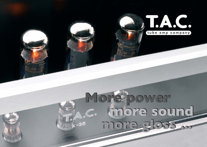

## **More power more sound more gloss ... More power more sound more gloss ...**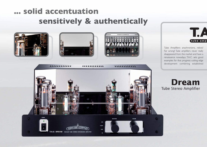# **... solid accentuation sensitively & authentically**







Tube Amplifiers: anachronisms, relicts? Far wrong! Tube amplifiers never really disappeared from the market and have a renaissance nowadays. T.A.C. sets good examples for that progress: cutting edge development combining established

**Dream** Tube Stereo Amplifier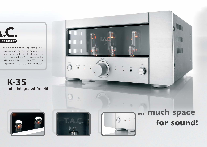

technics and modern engineering. T.A.C. amplifiers are perfect for people loving tube sound and for purists who apprecia te the extraordinary. Even in combination with low efficienct speakers, T.A.C. tube amplifiers spark a fire of dynamic facets.

**K-35** Tube Integrated Amplifier





IIIIIIII



**INPUT** 

VOLUME

# **... much space for sound!**

WWW